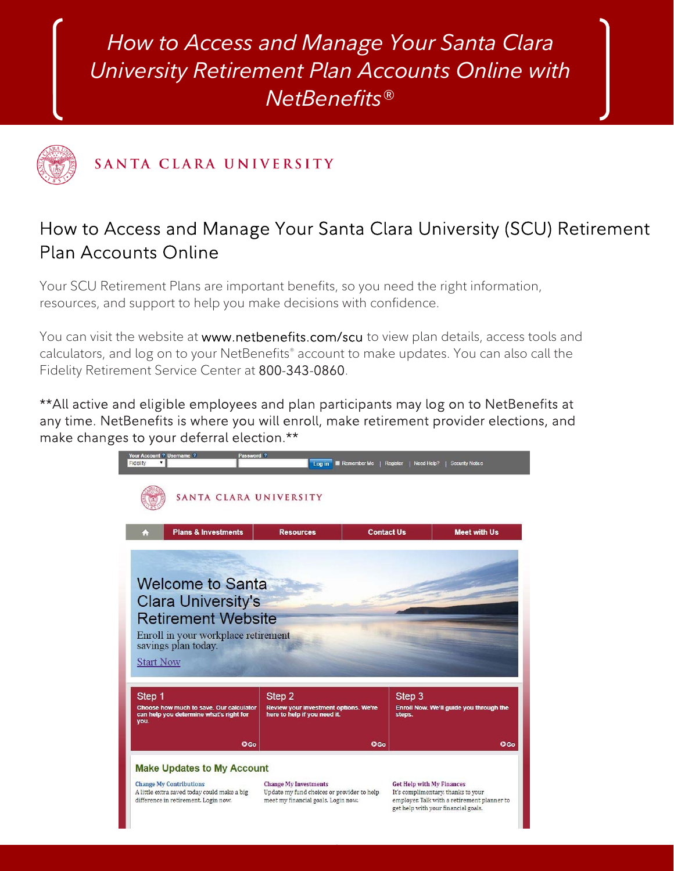*How to Access and Manage Your Santa Clara University Retirement Plan Accounts Online with NetBenefits*®



SANTA CLARA UNIVERSITY

# How to Access and Manage Your Santa Clara University (SCU) Retirement Plan Accounts Online

Your SCU Retirement Plans are important benefits, so you need the right information, resources, and support to help you make decisions with confidence.

You can visit the website at www.netbenefits.com/scu to view plan details, access tools and calculators, and log on to your NetBenefits® account to make updates. You can also call the Fidelity Retirement Service Center at 800-343-0860.

\*\*All active and eligible employees and plan participants may log on to NetBenefits at any time. NetBenefits is where you will enroll, make retirement provider elections, and make changes to your deferral election.\*\*



1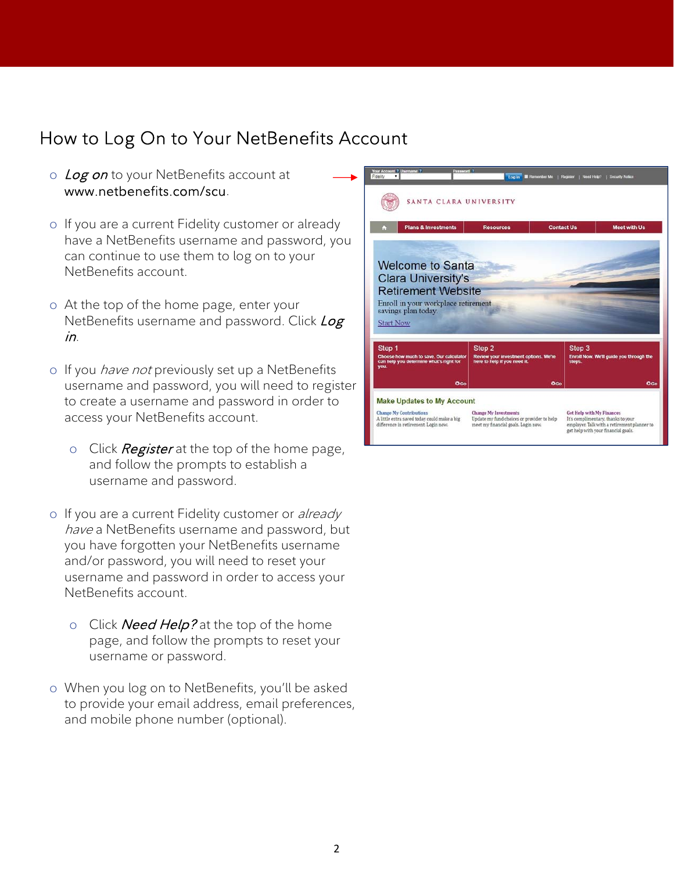# How to Log On to Your NetBenefits Account

- o Log on to your NetBenefits account at www.netbenefits.com/scu.
- o If you are a current Fidelity customer or already have a NetBenefits username and password, you can continue to use them to log on to your NetBenefits account.
- o At the top of the home page, enter your NetBenefits username and password. Click Log in.
- o If you *have not* previously set up a NetBenefits username and password, you will need to register to create a username and password in order to access your NetBenefits account.
	- o Click Register at the top of the home page, and follow the prompts to establish a username and password.
- o If you are a current Fidelity customer or already have a NetBenefits username and password, but you have forgotten your NetBenefits username and/or password, you will need to reset your username and password in order to access your NetBenefits account.
	- o Click **Need Help?** at the top of the home page, and follow the prompts to reset your username or password.
- o When you log on to NetBenefits, you'll be asked to provide your email address, email preferences, and mobile phone number (optional).

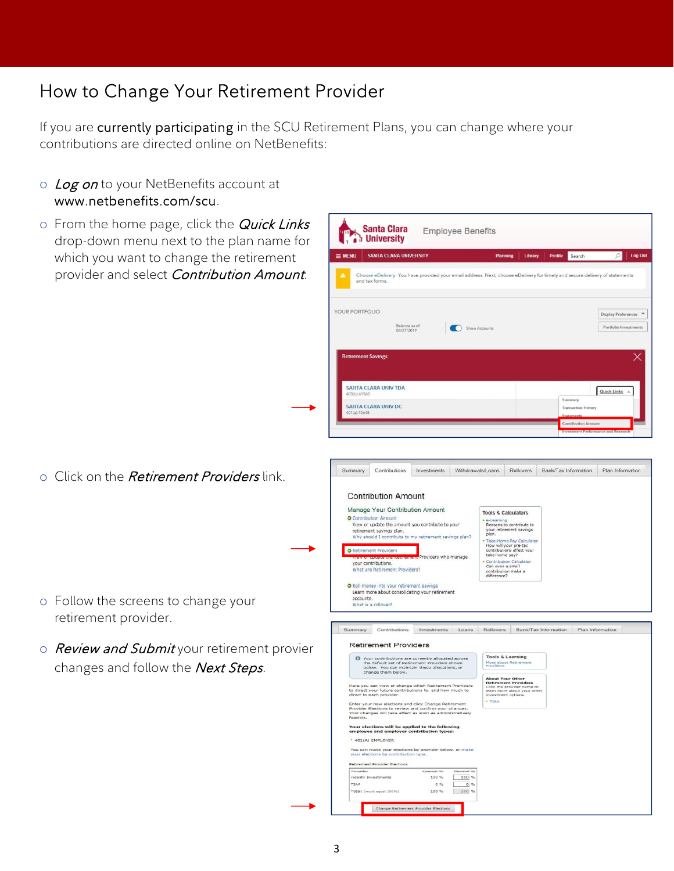# How to Change Your Retirement Provider

If you are currently participating in the SCU Retirement Plans, you can change where your contributions are directed online on NetBenefits:

- o Log on to your NetBenefits account at www.netbenefits.com/scu.
- $\circ$  From the home page, click the *Quick Links* drop-down menu next to the plan name for which you want to change the retirement provider and select Contribution Amount.
	- **Santa Clara Employee Benefits The University** SANTA CLARA UNIVERSITY  $\equiv$  MENU ing | Library | Profile Search Log Ou ivided vour email address. Next, choose eDelivery for timely and secure deli e eDelivery and tax forms YOUR PORTFOLIO Display Preferences Balance as of<br>08/27/2019 Show Accounts Portfolio Investments ont Saving SANTA CLARA UNIV TDA Quick Links  $\sim$ SANTA CLARA UNIV DC Summary Contributions Investments Withdrawals/Loans Rollovers Bank/Tax Information Plan Information **Contribution Amount** Manage Your Contribution Amount **Tools & Calculators** O Contribution Amount e-Learning<br>Reasons to contribute to<br>your retirement savings<br>plan. View or update the amount you contribute to your retirement savings plan.<br>Why should I contribute to my retirement savings pla pian.<br>Take-Home Pay Calculate<br>How will your pre-tax<br>contributions affect your<br>take-home pay? O Retirement Providers viders who manage view or oppose the recording it?<br>your contributions.<br>What are Retirement Providers? Contribution Calculator<br>Can even a small<br>contribution make a<br>difference? O Roll money into your retirement savings<br>Learn more about consolidating your retirement accounts.<br>What is a rollover? Summary Contributions Investments Loans Rollovers Bank/Tax Information Plan Inform **Retirement Providers** Your contributions are currently allocated acre<br>the default set of Retirement Providers shown<br>below. You can maintain these allocations, or<br>change them below. **Tools & Learning**<br>More about Retirement<br>Providers  $\bullet$ new elections and click Chang<br>lections to review and confirm<br>pes will take effect as soon as Your elections will be applied to the followi<br>employee and employer contribution types: \* 401(A) EMPLOYER an make your electio<br>elections by contribut

100 %

100 %

Change Retirement Provider Elections

 $100 \%$  $\overline{\circ}$ 100 %

o Click on the *Retirement Providers* link.

- o Follow the screens to change your retirement provider.
- o Review and Submit your retirement provier changes and follow the Next Steps.

'otal: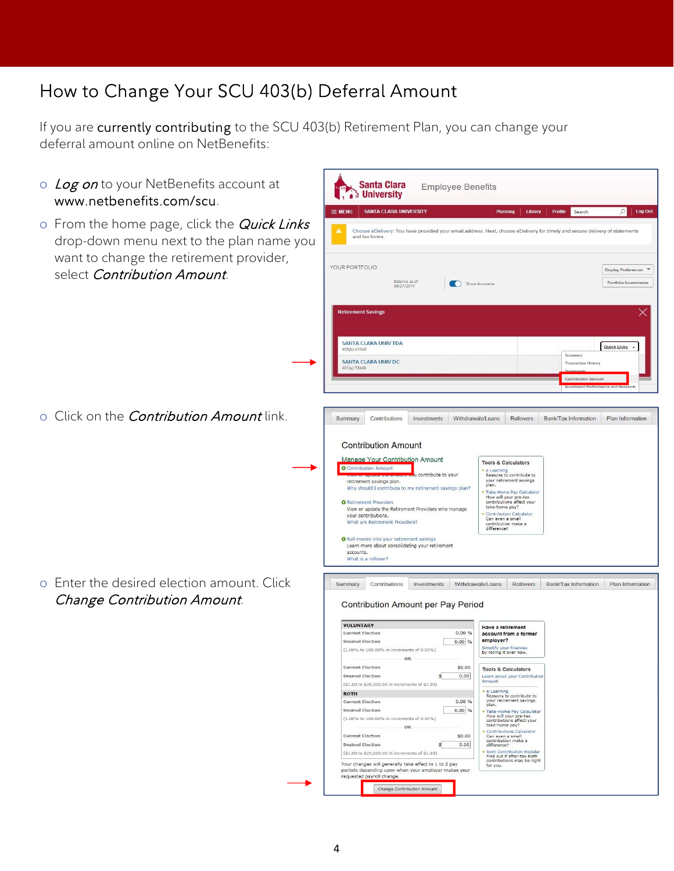# How to Change Your SCU 403(b) Deferral Amount

If you are currently contributing to the SCU 403(b) Retirement Plan, you can change your deferral amount online on NetBenefits:

- o Log on to your NetBenefits account at www.netbenefits.com/scu.
- $\circ$  From the home page, click the *Quick Links* drop-down menu next to the plan name you want to change the retirement provider, select *Contribution Amount*.

o Click on the *Contribution Amount* link.

o Enter the desired election amount. Click Change Contribution Amount.

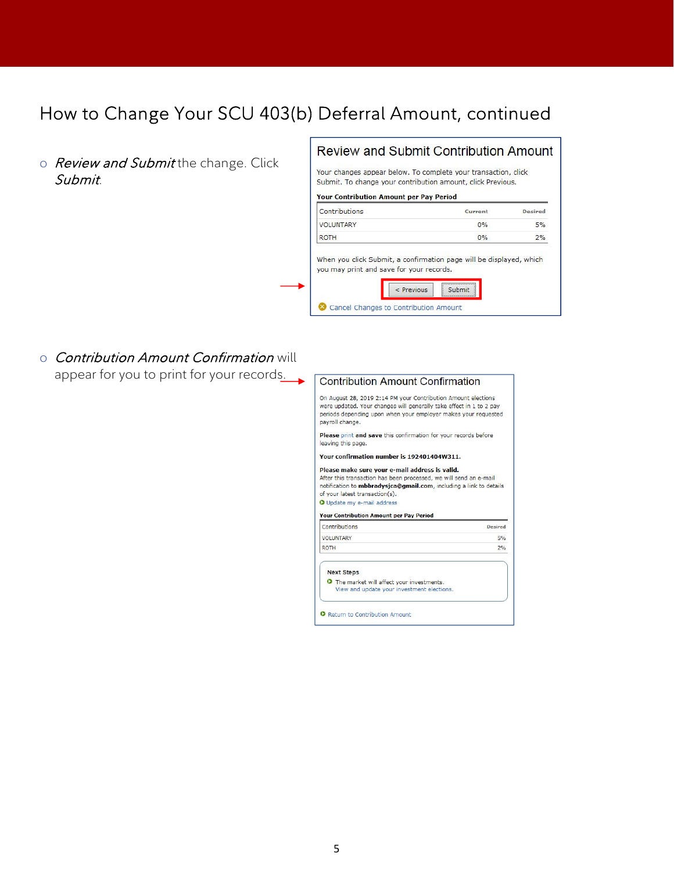## How to Change Your SCU 403(b) Deferral Amount, continued

o Review and Submit the change. Click Submit.

## **Review and Submit Contribution Amount**

Your changes appear below. To complete your transaction, click Submit. To change your contribution amount, click Previous.

#### Your Contribution Amount per Pay Period

| Contributions    | Current | <b>Desired</b> |
|------------------|---------|----------------|
| <b>VOLUNTARY</b> | $0\%$   | 5%             |
| <b>ROTH</b>      | $0\%$   | 2%             |

When you click Submit, a confirmation page will be displayed, which you may print and save for your records.

| $<$ Previous                          |  |
|---------------------------------------|--|
|                                       |  |
| Cancel Changes to Contribution Amount |  |

o Contribution Amount Confirmation will appear for you to print for your records.

#### **Contribution Amount Confirmation**

On August 28, 2019 2:14 PM your Contribution Amount elections were updated. Your changes will generally take effect in 1 to 2 pay periods depending upon when your employer makes your requested payroll change.

Please print and save this confirmation for your records before leaving this page.

Your confirmation number is 192401404W311.

#### Please make sure your e-mail address is valid.

After this transaction has been processed, we will send an e-mail notification to mbbradysjca@gmail.com, including a link to details of your latest transaction(s). O Update my e-mail address

#### Your Contribution Amount per Pay Period

| Contributions                                                          | <b>Desired</b> |
|------------------------------------------------------------------------|----------------|
| <b>VOLUNTARY</b>                                                       | 5%             |
| <b>ROTH</b>                                                            | 2%             |
| <b>Next Steps</b><br><b>O</b> The market will affect your investments. |                |
| View and update your investment elections.                             |                |

O Return to Contribution Amount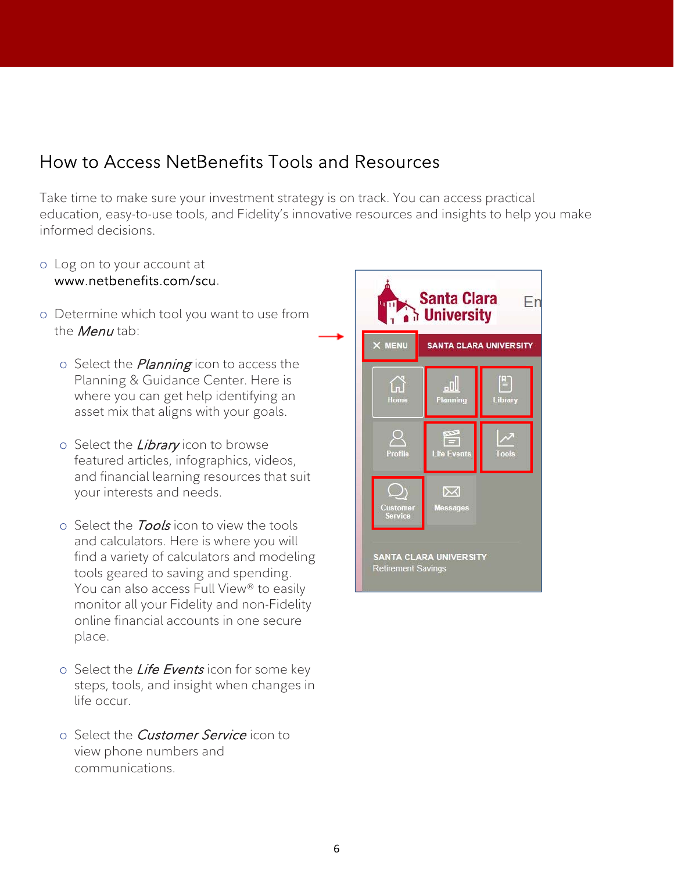## How to Access NetBenefits Tools and Resources

Take time to make sure your investment strategy is on track. You can access practical education, easy-to-use tools, and Fidelity's innovative resources and insights to help you make informed decisions.

o Log on to your account at

### www.netbenefits.com/scu.

- o Determine which tool you want to use from the *Menu* tab:
	- o Select the *Planning* icon to access the Planning & Guidance Center. Here is where you can get help identifying an asset mix that aligns with your goals.
	- o Select the *Library* icon to browse featured articles, infographics, videos, and financial learning resources that suit your interests and needs.
	- o Select the **Tools** icon to view the tools and calculators. Here is where you will find a variety of calculators and modeling tools geared to saving and spending. You can also access Full View® to easily monitor all your Fidelity and non-Fidelity online financial accounts in one secure place.
	- o Select the *Life Events* icon for some key steps, tools, and insight when changes in life occur.
	- o Select the *Customer Service* icon to view phone numbers and communications.